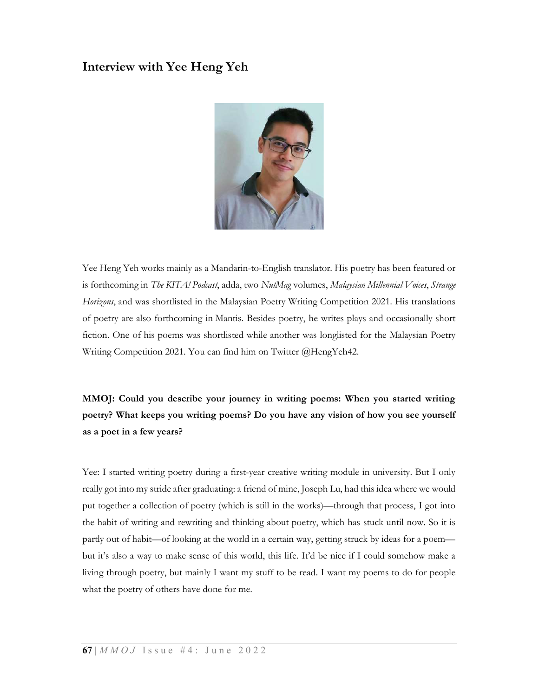# Interview with Yee Heng Yeh



Yee Heng Yeh works mainly as a Mandarin-to-English translator. His poetry has been featured or is forthcoming in The KITA! Podcast, adda, two NutMag volumes, Malaysian Millennial Voices, Strange Horizons, and was shortlisted in the Malaysian Poetry Writing Competition 2021. His translations of poetry are also forthcoming in Mantis. Besides poetry, he writes plays and occasionally short fiction. One of his poems was shortlisted while another was longlisted for the Malaysian Poetry Writing Competition 2021. You can find him on Twitter @HengYeh42.

MMOJ: Could you describe your journey in writing poems: When you started writing poetry? What keeps you writing poems? Do you have any vision of how you see yourself as a poet in a few years?

Yee: I started writing poetry during a first-year creative writing module in university. But I only really got into my stride after graduating: a friend of mine, Joseph Lu, had this idea where we would put together a collection of poetry (which is still in the works)—through that process, I got into the habit of writing and rewriting and thinking about poetry, which has stuck until now. So it is partly out of habit—of looking at the world in a certain way, getting struck by ideas for a poem but it's also a way to make sense of this world, this life. It'd be nice if I could somehow make a living through poetry, but mainly I want my stuff to be read. I want my poems to do for people what the poetry of others have done for me.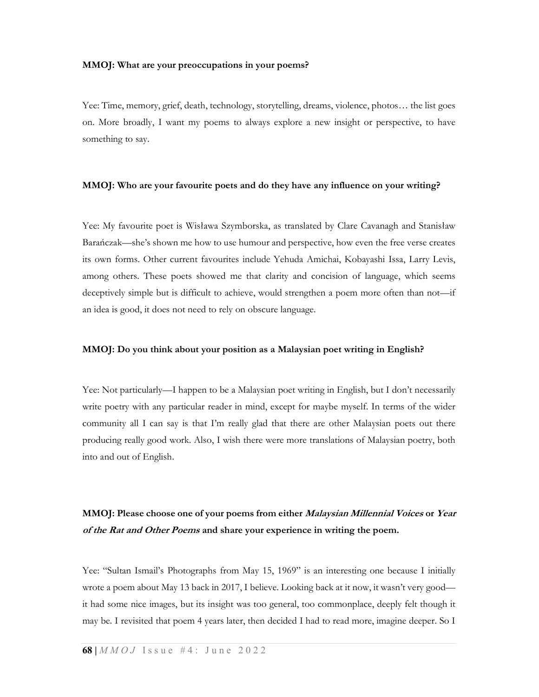#### MMOJ: What are your preoccupations in your poems?

Yee: Time, memory, grief, death, technology, storytelling, dreams, violence, photos… the list goes on. More broadly, I want my poems to always explore a new insight or perspective, to have something to say.

#### MMOJ: Who are your favourite poets and do they have any influence on your writing?

Yee: My favourite poet is Wisława Szymborska, as translated by Clare Cavanagh and Stanisław Barańczak—she's shown me how to use humour and perspective, how even the free verse creates its own forms. Other current favourites include Yehuda Amichai, Kobayashi Issa, Larry Levis, among others. These poets showed me that clarity and concision of language, which seems deceptively simple but is difficult to achieve, would strengthen a poem more often than not—if an idea is good, it does not need to rely on obscure language.

#### MMOJ: Do you think about your position as a Malaysian poet writing in English?

Yee: Not particularly—I happen to be a Malaysian poet writing in English, but I don't necessarily write poetry with any particular reader in mind, except for maybe myself. In terms of the wider community all I can say is that I'm really glad that there are other Malaysian poets out there producing really good work. Also, I wish there were more translations of Malaysian poetry, both into and out of English.

## MMOJ: Please choose one of your poems from either *Malaysian Millennial Voices* or *Year* of the Rat and Other Poems and share your experience in writing the poem.

Yee: "Sultan Ismail's Photographs from May 15, 1969" is an interesting one because I initially wrote a poem about May 13 back in 2017, I believe. Looking back at it now, it wasn't very good it had some nice images, but its insight was too general, too commonplace, deeply felt though it may be. I revisited that poem 4 years later, then decided I had to read more, imagine deeper. So I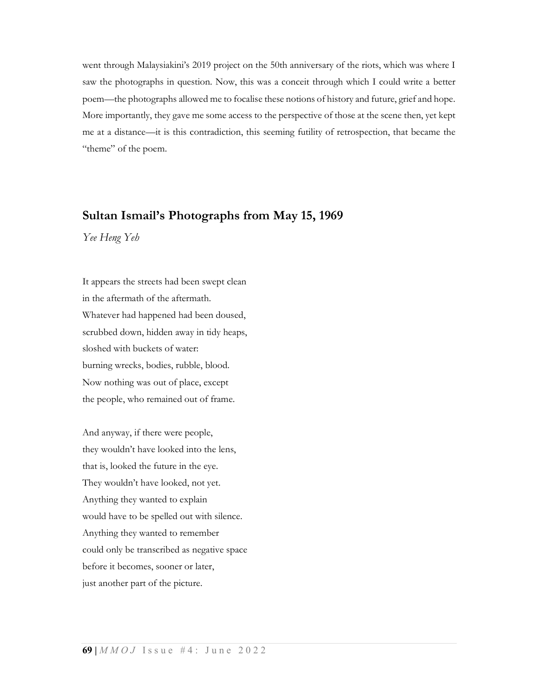went through Malaysiakini's 2019 project on the 50th anniversary of the riots, which was where I saw the photographs in question. Now, this was a conceit through which I could write a better poem—the photographs allowed me to focalise these notions of history and future, grief and hope. More importantly, they gave me some access to the perspective of those at the scene then, yet kept me at a distance—it is this contradiction, this seeming futility of retrospection, that became the "theme" of the poem.

### Sultan Ismail's Photographs from May 15, 1969

Yee Heng Yeh

It appears the streets had been swept clean in the aftermath of the aftermath. Whatever had happened had been doused, scrubbed down, hidden away in tidy heaps, sloshed with buckets of water: burning wrecks, bodies, rubble, blood. Now nothing was out of place, except the people, who remained out of frame.

And anyway, if there were people, they wouldn't have looked into the lens, that is, looked the future in the eye. They wouldn't have looked, not yet. Anything they wanted to explain would have to be spelled out with silence. Anything they wanted to remember could only be transcribed as negative space before it becomes, sooner or later, just another part of the picture.